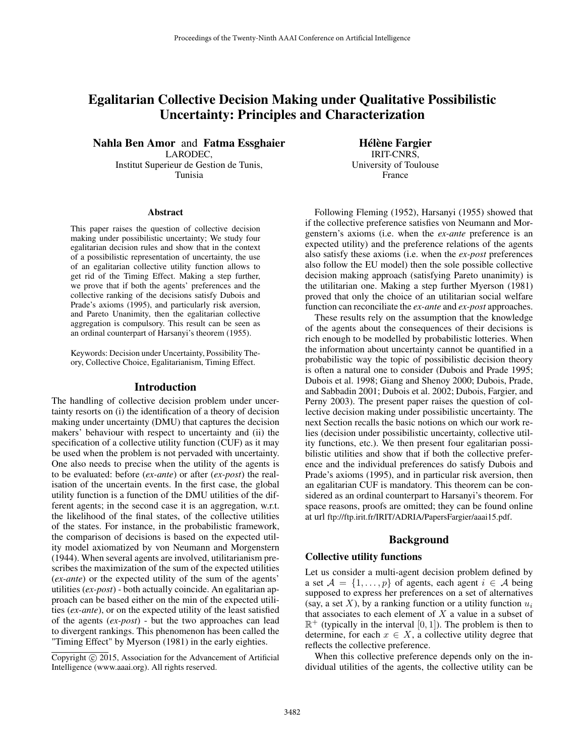# Egalitarian Collective Decision Making under Qualitative Possibilistic Uncertainty: Principles and Characterization

Nahla Ben Amor and Fatma Essghaier LARODEC, Institut Superieur de Gestion de Tunis, Tunisia

#### Abstract

This paper raises the question of collective decision making under possibilistic uncertainty; We study four egalitarian decision rules and show that in the context of a possibilistic representation of uncertainty, the use of an egalitarian collective utility function allows to get rid of the Timing Effect. Making a step further, we prove that if both the agents' preferences and the collective ranking of the decisions satisfy Dubois and Prade's axioms (1995), and particularly risk aversion, and Pareto Unanimity, then the egalitarian collective aggregation is compulsory. This result can be seen as an ordinal counterpart of Harsanyi's theorem (1955).

Keywords: Decision under Uncertainty, Possibility Theory, Collective Choice, Egalitarianism, Timing Effect.

### Introduction

The handling of collective decision problem under uncertainty resorts on (i) the identification of a theory of decision making under uncertainty (DMU) that captures the decision makers' behaviour with respect to uncertainty and (ii) the specification of a collective utility function (CUF) as it may be used when the problem is not pervaded with uncertainty. One also needs to precise when the utility of the agents is to be evaluated: before (*ex-ante*) or after (*ex-post*) the realisation of the uncertain events. In the first case, the global utility function is a function of the DMU utilities of the different agents; in the second case it is an aggregation, w.r.t. the likelihood of the final states, of the collective utilities of the states. For instance, in the probabilistic framework, the comparison of decisions is based on the expected utility model axiomatized by von Neumann and Morgenstern (1944). When several agents are involved, utilitarianism prescribes the maximization of the sum of the expected utilities (*ex-ante*) or the expected utility of the sum of the agents' utilities (*ex-post*) - both actually coincide. An egalitarian approach can be based either on the min of the expected utilities (*ex-ante*), or on the expected utility of the least satisfied of the agents (*ex-post*) - but the two approaches can lead to divergent rankings. This phenomenon has been called the "Timing Effect" by Myerson (1981) in the early eighties.

Hélène Fargier IRIT-CNRS, University of Toulouse France

Following Fleming (1952), Harsanyi (1955) showed that if the collective preference satisfies von Neumann and Morgenstern's axioms (i.e. when the *ex-ante* preference is an expected utility) and the preference relations of the agents also satisfy these axioms (i.e. when the *ex-post* preferences also follow the EU model) then the sole possible collective decision making approach (satisfying Pareto unanimity) is the utilitarian one. Making a step further Myerson (1981) proved that only the choice of an utilitarian social welfare function can reconciliate the *ex-ante* and *ex-post* approaches.

These results rely on the assumption that the knowledge of the agents about the consequences of their decisions is rich enough to be modelled by probabilistic lotteries. When the information about uncertainty cannot be quantified in a probabilistic way the topic of possibilistic decision theory is often a natural one to consider (Dubois and Prade 1995; Dubois et al. 1998; Giang and Shenoy 2000; Dubois, Prade, and Sabbadin 2001; Dubois et al. 2002; Dubois, Fargier, and Perny 2003). The present paper raises the question of collective decision making under possibilistic uncertainty. The next Section recalls the basic notions on which our work relies (decision under possibilistic uncertainty, collective utility functions, etc.). We then present four egalitarian possibilistic utilities and show that if both the collective preference and the individual preferences do satisfy Dubois and Prade's axioms (1995), and in particular risk aversion, then an egalitarian CUF is mandatory. This theorem can be considered as an ordinal counterpart to Harsanyi's theorem. For space reasons, proofs are omitted; they can be found online at url ftp://ftp.irit.fr/IRIT/ADRIA/PapersFargier/aaai15.pdf.

### Background

## Collective utility functions

Let us consider a multi-agent decision problem defined by a set  $A = \{1, ..., p\}$  of agents, each agent  $i \in A$  being supposed to express her preferences on a set of alternatives (say, a set X), by a ranking function or a utility function  $u_i$ that associates to each element of  $X$  a value in a subset of  $\mathbb{R}^+$  (typically in the interval [0, 1]). The problem is then to determine, for each  $x \in X$ , a collective utility degree that reflects the collective preference.

When this collective preference depends only on the individual utilities of the agents, the collective utility can be

Copyright  $\odot$  2015, Association for the Advancement of Artificial Intelligence (www.aaai.org). All rights reserved.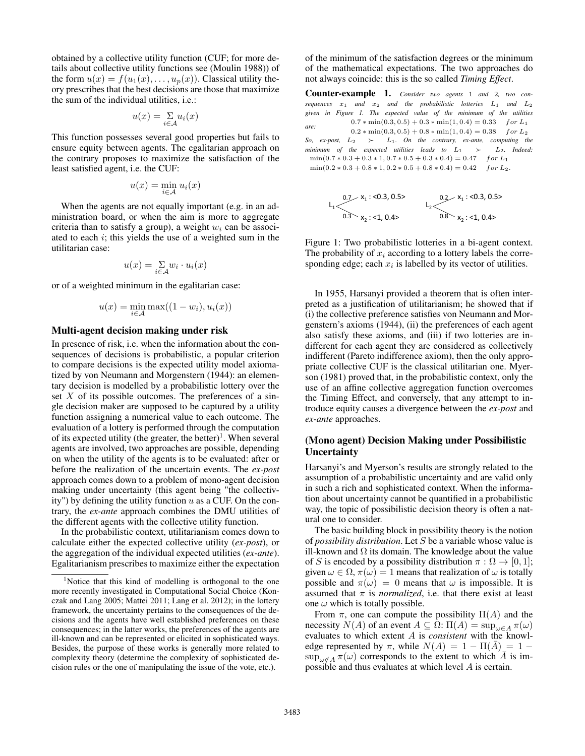obtained by a collective utility function (CUF; for more details about collective utility functions see (Moulin 1988)) of the form  $u(x) = f(u_1(x), \ldots, u_p(x))$ . Classical utility theory prescribes that the best decisions are those that maximize the sum of the individual utilities, i.e.:

$$
u(x) = \sum_{i \in \mathcal{A}} u_i(x)
$$

This function possesses several good properties but fails to ensure equity between agents. The egalitarian approach on the contrary proposes to maximize the satisfaction of the least satisfied agent, i.e. the CUF:

$$
u(x) = \min_{i \in \mathcal{A}} u_i(x)
$$

When the agents are not equally important (e.g. in an administration board, or when the aim is more to aggregate criteria than to satisfy a group), a weight  $w_i$  can be associated to each  $i$ ; this yields the use of a weighted sum in the utilitarian case:

$$
u(x) = \mathop{\textstyle \sum}_{i \in \mathcal{A}} w_i \cdot u_i(x)
$$

or of a weighted minimum in the egalitarian case:

$$
u(x) = \min_{i \in \mathcal{A}} \max((1 - w_i), u_i(x))
$$

### Multi-agent decision making under risk

In presence of risk, i.e. when the information about the consequences of decisions is probabilistic, a popular criterion to compare decisions is the expected utility model axiomatized by von Neumann and Morgenstern (1944): an elementary decision is modelled by a probabilistic lottery over the set  $X$  of its possible outcomes. The preferences of a single decision maker are supposed to be captured by a utility function assigning a numerical value to each outcome. The evaluation of a lottery is performed through the computation of its expected utility (the greater, the better)<sup>1</sup>. When several agents are involved, two approaches are possible, depending on when the utility of the agents is to be evaluated: after or before the realization of the uncertain events. The *ex-post* approach comes down to a problem of mono-agent decision making under uncertainty (this agent being "the collectivity") by defining the utility function  $u$  as a CUF. On the contrary, the *ex-ante* approach combines the DMU utilities of the different agents with the collective utility function.

In the probabilistic context, utilitarianism comes down to calculate either the expected collective utility (*ex-post*), or the aggregation of the individual expected utilities (*ex-ante*). Egalitarianism prescribes to maximize either the expectation of the minimum of the satisfaction degrees or the minimum of the mathematical expectations. The two approaches do not always coincide: this is the so called *Timing Effect*.

Counter-example 1. *Consider two agents* <sup>1</sup> *and* <sup>2</sup>*, two consequences*  $x_1$  *and*  $x_2$  *and* the probabilistic lotteries  $L_1$  *and*  $L_2$ *given in Figure 1. The expected value of the minimum of the utilities are:*  $0.7*\min(0.3,0.5)+0.3*\min(1,0.4)=0.33$  for  $L_1$  $0.2 * min(0.3, 0.5) + 0.8 * min(1, 0.4) = 0.38$  for L<sub>2</sub> *So, ex-post,*  $L_2$   $\rightarrow$   $L_1$ *. On the contrary, ex-ante, computing the minimum of the expected utilities leads to*  $L_1$   $\succ$   $L_2$ *. Indeed:*  $\min(0.7 * 0.3 + 0.3 * 1, 0.7 * 0.5 + 0.3 * 0.4) = 0.47$  for L<sub>1</sub>  $min(0.2 * 0.3 + 0.8 * 1, 0.2 * 0.5 + 0.8 * 0.4) = 0.42$  for L<sub>2</sub>.

$$
L_1 \xrightarrow{0.7} x_1 : 0.3, 0.5 >
$$
  
\n
$$
L_2 \xrightarrow{0.2} x_1 : 0.3, 0.5 >
$$
  
\n
$$
L_2 \xrightarrow{0.2} x_1 : 0.3, 0.5 >
$$
  
\n
$$
L_2 \xrightarrow{0.8} x_2 : 0.4 >
$$

Figure 1: Two probabilistic lotteries in a bi-agent context. The probability of  $x_i$  according to a lottery labels the corresponding edge; each  $x_i$  is labelled by its vector of utilities.

In 1955, Harsanyi provided a theorem that is often interpreted as a justification of utilitarianism; he showed that if (i) the collective preference satisfies von Neumann and Morgenstern's axioms (1944), (ii) the preferences of each agent also satisfy these axioms, and (iii) if two lotteries are indifferent for each agent they are considered as collectively indifferent (Pareto indifference axiom), then the only appropriate collective CUF is the classical utilitarian one. Myerson (1981) proved that, in the probabilistic context, only the use of an affine collective aggregation function overcomes the Timing Effect, and conversely, that any attempt to introduce equity causes a divergence between the *ex-post* and *ex-ante* approaches.

### (Mono agent) Decision Making under Possibilistic **Uncertainty**

Harsanyi's and Myerson's results are strongly related to the assumption of a probabilistic uncertainty and are valid only in such a rich and sophisticated context. When the information about uncertainty cannot be quantified in a probabilistic way, the topic of possibilistic decision theory is often a natural one to consider.

The basic building block in possibility theory is the notion of *possibility distribution*. Let S be a variable whose value is ill-known and  $\Omega$  its domain. The knowledge about the value of S is encoded by a possibility distribution  $\pi : \Omega \to [0, 1];$ given  $\omega \in \Omega$ ,  $\pi(\omega) = 1$  means that realization of  $\omega$  is totally possible and  $\pi(\omega) = 0$  means that  $\omega$  is impossible. It is assumed that  $\pi$  is *normalized*, i.e. that there exist at least one  $\omega$  which is totally possible.

From  $\pi$ , one can compute the possibility  $\Pi(A)$  and the necessity  $N(A)$  of an event  $A \subseteq \Omega$ :  $\Pi(A) = \sup_{\omega \in A} \pi(\omega)$ evaluates to which extent A is *consistent* with the knowledge represented by  $\pi$ , while  $N(A) = 1 - \Pi(\overline{A}) = 1 \sup_{\omega \notin A} \pi(\omega)$  corresponds to the extent to which  $\overline{A}$  is impossible and thus evaluates at which level A is certain.

<sup>&</sup>lt;sup>1</sup>Notice that this kind of modelling is orthogonal to the one more recently investigated in Computational Social Choice (Konczak and Lang 2005; Mattei 2011; Lang et al. 2012); in the lottery framework, the uncertainty pertains to the consequences of the decisions and the agents have well established preferences on these consequences; in the latter works, the preferences of the agents are ill-known and can be represented or elicited in sophisticated ways. Besides, the purpose of these works is generally more related to complexity theory (determine the complexity of sophisticated decision rules or the one of manipulating the issue of the vote, etc.).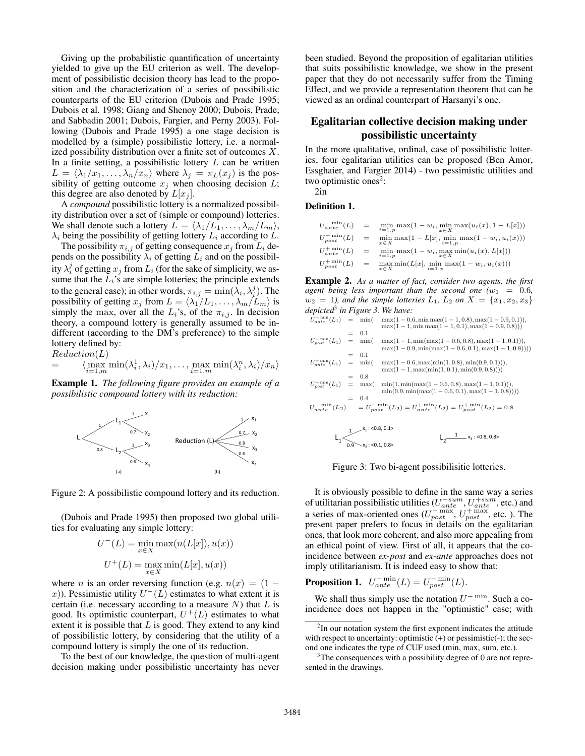Giving up the probabilistic quantification of uncertainty yielded to give up the EU criterion as well. The development of possibilistic decision theory has lead to the proposition and the characterization of a series of possibilistic counterparts of the EU criterion (Dubois and Prade 1995; Dubois et al. 1998; Giang and Shenoy 2000; Dubois, Prade, and Sabbadin 2001; Dubois, Fargier, and Perny 2003). Following (Dubois and Prade 1995) a one stage decision is modelled by a (simple) possibilistic lottery, i.e. a normalized possibility distribution over a finite set of outcomes  $X$ . In a finite setting, a possibilistic lottery  $L$  can be written  $L = \langle \lambda_1/x_1, \ldots, \lambda_n/x_n \rangle$  where  $\lambda_j = \pi_L(x_j)$  is the possibility of getting outcome  $x_j$  when choosing decision  $L$ ; this degree are also denoted by  $L[x_j]$ .

A *compound* possibilistic lottery is a normalized possibility distribution over a set of (simple or compound) lotteries. We shall denote such a lottery  $L = \langle \lambda_1/L_1, \ldots, \lambda_m/L_m \rangle$ ,  $\lambda_i$  being the possibility of getting lottery  $L_i$  according to  $L$ .

The possibility  $\pi_{i,j}$  of getting consequence  $x_j$  from  $L_i$  depends on the possibility  $\lambda_i$  of getting  $L_i$  and on the possibility  $\lambda_i^j$  of getting  $x_j$  from  $L_i$  (for the sake of simplicity, we assume that the  $L_i$ 's are simple lotteries; the principle extends to the general case); in other words,  $\pi_{i,j} = \min(\lambda_i, \lambda_i^j)$ . The possibility of getting  $x_j$  from  $L = \langle \lambda_1/L_1, \dots, \lambda_m/L_m \rangle$  is simply the max, over all the  $L_i$ 's, of the  $\pi_{i,j}$ . In decision theory, a compound lottery is generally assumed to be indifferent (according to the DM's preference) to the simple lottery defined by:

Reduction(L)

$$
= \langle \max_{i=1,m} \min(\lambda_i^1, \lambda_i) / x_1, \dots, \max_{i=1,m} \min(\lambda_i^n, \lambda_i) / x_n \rangle
$$

Example 1. *The following figure provides an example of a possibilistic compound lottery with its reduction:*



Figure 2: A possibilistic compound lottery and its reduction.

(Dubois and Prade 1995) then proposed two global utilities for evaluating any simple lottery:

$$
U^{-}(L) = \min_{x \in X} \max(n(L[x]), u(x))
$$

$$
U^{+}(L) = \max_{x \in X} \min(L[x], u(x))
$$

where *n* is an order reversing function (e.g.  $n(x) = (1$ x)). Pessimistic utility  $U^{-}(L)$  estimates to what extent it is certain (i.e. necessary according to a measure  $N$ ) that  $L$  is good. Its optimistic counterpart,  $U^+(L)$  estimates to what extent it is possible that  $L$  is good. They extend to any kind of possibilistic lottery, by considering that the utility of a compound lottery is simply the one of its reduction.

To the best of our knowledge, the question of multi-agent decision making under possibilistic uncertainty has never

been studied. Beyond the proposition of egalitarian utilities that suits possibilistic knowledge, we show in the present paper that they do not necessarily suffer from the Timing Effect, and we provide a representation theorem that can be viewed as an ordinal counterpart of Harsanyi's one.

## Egalitarian collective decision making under possibilistic uncertainty

In the more qualitative, ordinal, case of possibilistic lotteries, four egalitarian utilities can be proposed (Ben Amor, Essghaier, and Fargier 2014) - two pessimistic utilities and two optimistic ones<sup>2</sup>:

2in

Definition 1.

| $U_{ante}^{-\min}(L)$  | $=$ | $\min_{i=1,p} \max(1-w_i, \min_{x \in X} \max(u_i(x), 1-L[x]))$<br>$i=1, p$      |
|------------------------|-----|----------------------------------------------------------------------------------|
| $U_{post}^{-\min}(L)$  | $=$ | $\min_{x \in X} \max(1 - L[x], \min_{i=1,p} \max(1 - w_i, u_i(x)))$<br>$x \in X$ |
| $U_{ante}^{+ \min}(L)$ | $=$ | $\min_{i=1,p} \max(1 - w_i, \max_{x \in X} \min(u_i(x), L[x]))$                  |
| $U_{post}^{+\min}(L)$  | $=$ | $\max_{x \in X} \min(L[x], \min_{i=1,p} \max(1 - w_i, u_i(x)))$                  |

Example 2. *As a matter of fact, consider two agents, the first agent being less important than the second one*  $(w_1 = 0.6,$  $w_2 = 1$ *), and the simple lotteries*  $L_1$ ,  $L_2$  *on*  $X = \{x_1, x_2, x_3\}$ *depicted*<sup>3</sup> *in Figure 3. We have:*

| $U_{ante}^{-\min}(L_1) = \min($        |                    | $\max(1-0.6, \min \max(1-1, 0.8), \max(1-0.9, 0.1)),$<br>$max(1 - 1, min max(1 - 1, 0.1), max(1 - 0.9, 0.8)))$ |
|----------------------------------------|--------------------|----------------------------------------------------------------------------------------------------------------|
|                                        | $= 0.1$            |                                                                                                                |
| $U_{\text{post}}^{-\min}(L_1) = \min($ |                    | $\max(1-1, \min(\max(1-0.6, 0.8), \max(1-1, 0.1))),$                                                           |
|                                        |                    | $\max(1-0.9, \min(\max(1-0.6, 0.1), \max(1-1, 0.8))))$                                                         |
|                                        | $= 0.1$            |                                                                                                                |
| $U_{ante}^{+ \min}(L_1) = \min($       |                    | $\max(1-0.6, \max(\min(1, 0.8), \min(0.9, 0.1))).$                                                             |
|                                        |                    | $\max(1-1, \max(\min(1, 0.1), \min(0.9, 0.8))))$                                                               |
|                                        | $= 0.8$            |                                                                                                                |
| $U_{\text{nost}}^{+\min}(L_1) = \max($ |                    | $min(1, min(max(1 - 0.6, 0.8), max(1 - 1, 0.1))),$                                                             |
|                                        |                    | $min(0.9, min(max(1 - 0.6, 0.1), max(1 - 1, 0.8))))$                                                           |
|                                        | $= 0.4$            |                                                                                                                |
|                                        |                    | $U_{antc}^{-\min}(L_2) = U_{nost}^{-\min}(L_2) = U_{antc}^{+\min}(L_2) = U_{nost}^{+\min}(L_2) = 0.8.$         |
|                                        |                    |                                                                                                                |
|                                        |                    |                                                                                                                |
|                                        | $x_1$ : <0.8, 0.1> |                                                                                                                |

Figure 3: Two bi-agent possibilisitic lotteries.

 $L_1 \leftarrow$ <br> $L_2 \frac{1}{\sqrt{3}}$  x<sub>3</sub>: <0.8, 0.8>

 $L_2$ -

It is obviously possible to define in the same way a series of utilitarian possibilistic utilities ( $U_{ante}^{-sum}$ ,  $U_{ante}^{+sum}$ , etc.) and a series of max-oriented ones  $(U_{post}^{-\max}, U_{post}^{+\max},$  etc.). The present paper prefers to focus in details on the egalitarian ones, that look more coherent, and also more appealing from an ethical point of view. First of all, it appears that the coincidence between *ex-post* and *ex-ante* approaches does not imply utilitarianism. It is indeed easy to show that:

**Proposition 1.**  $U_{ante}^{-\min}(L) = U_{post}^{-\min}(L)$ .

0.9

We shall thus simply use the notation  $U^{-\min}$ . Such a coincidence does not happen in the "optimistic" case; with

<sup>&</sup>lt;sup>2</sup>In our notation system the first exponent indicates the attitude with respect to uncertainty: optimistic  $(+)$  or pessimistic $(-)$ ; the second one indicates the type of CUF used (min, max, sum, etc.).

<sup>&</sup>lt;sup>3</sup>The consequences with a possibility degree of 0 are not represented in the drawings.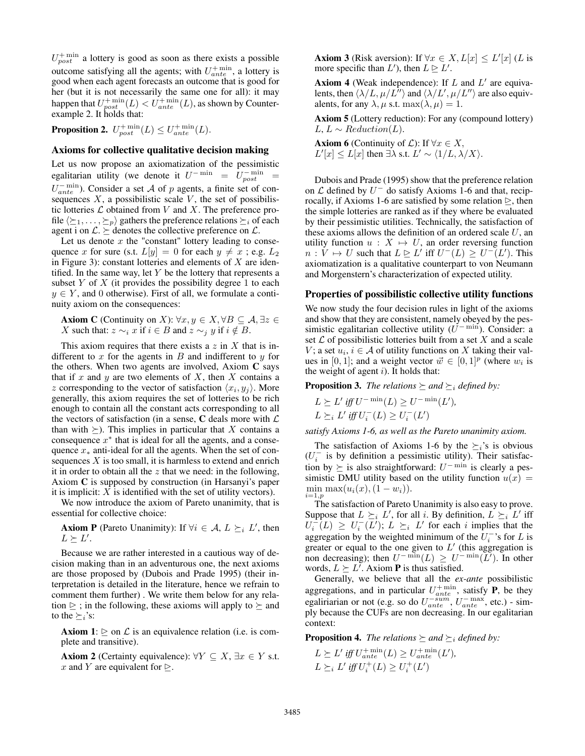$U_{post}^{+ \text{ min}}$  a lottery is good as soon as there exists a possible outcome satisfying all the agents; with  $U_{ante}^{+min}$ , a lottery is good when each agent forecasts an outcome that is good for her (but it is not necessarily the same one for all): it may happen that  $U_{post}^{+ \min }(L) < U_{ante}^{+ \min }(L)$ , as shown by Counterexample 2. It holds that:

**Proposition 2.**  $U_{post}^{+\min}(L) \leq U_{ante}^{+\min}(L)$ .

#### Axioms for collective qualitative decision making

Let us now propose an axiomatization of the pessimistic egalitarian utility (we denote it  $U^{-\min} = U^{-\min}_{post}$  $U_{ante}^{-\min}$ ). Consider a set A of p agents, a finite set of consequences  $X$ , a possibilistic scale  $V$ , the set of possibilistic lotteries  $\mathcal L$  obtained from  $V$  and  $X$ . The preference profile  $\langle \succeq_1, \ldots, \succeq_p \rangle$  gathers the preference relations  $\succeq_i$  of each agent i on  $\mathcal{L} \geq$  denotes the collective preference on  $\mathcal{L}$ .

Let us denote  $x$  the "constant" lottery leading to consequence x for sure (s.t.  $L[y] = 0$  for each  $y \neq x$ ; e.g.  $L_2$ in Figure 3): constant lotteries and elements of  $X$  are identified. In the same way, let  $Y$  be the lottery that represents a subset  $Y$  of  $X$  (it provides the possibility degree 1 to each  $y \in Y$ , and 0 otherwise). First of all, we formulate a continuity axiom on the consequences:

**Axiom C** (Continuity on X):  $\forall x, y \in X, \forall B \subseteq A, \exists z \in \mathcal{A}$ X such that:  $z \sim_i x$  if  $i \in B$  and  $z \sim_i y$  if  $i \notin B$ .

This axiom requires that there exists a  $z$  in  $X$  that is indifferent to  $x$  for the agents in  $B$  and indifferent to  $y$  for the others. When two agents are involved, Axiom  $C$  says that if x and y are two elements of  $X$ , then  $X$  contains a z corresponding to the vector of satisfaction  $\langle x_i, y_j \rangle$ . More generally, this axiom requires the set of lotteries to be rich enough to contain all the constant acts corresponding to all the vectors of satisfaction (in a sense,  $C$  deals more with  $\mathcal L$ than with  $\succeq$ ). This implies in particular that X contains a consequence  $x^*$  that is ideal for all the agents, and a consequence  $x_*$  anti-ideal for all the agents. When the set of consequences  $X$  is too small, it is harmless to extend and enrich it in order to obtain all the  $z$  that we need: in the following, Axiom C is supposed by construction (in Harsanyi's paper it is implicit:  $X$  is identified with the set of utility vectors).

We now introduce the axiom of Pareto unanimity, that is essential for collective choice:

**Axiom P** (Pareto Unanimity): If  $\forall i \in \mathcal{A}, L \succeq_i L'$ , then  $L \succeq L'.$ 

Because we are rather interested in a cautious way of decision making than in an adventurous one, the next axioms are those proposed by (Dubois and Prade 1995) (their interpretation is detailed in the literature, hence we refrain to comment them further) . We write them below for any relation  $\ge$  ; in the following, these axioms will apply to  $\succeq$  and to the  $\succ_i$ 's:

**Axiom 1:**  $\triangleright$  on  $\mathcal L$  is an equivalence relation (i.e. is complete and transitive).

**Axiom 2** (Certainty equivalence):  $\forall Y \subseteq X, \exists x \in Y$  s.t. x and Y are equivalent for  $\triangleright$ .

**Axiom 3** (Risk aversion): If  $\forall x \in X, L[x] \leq L'[x]$  (L is more specific than  $L'$ ), then  $L \trianglerighteq L'$ .

Axiom 4 (Weak independence): If  $L$  and  $L'$  are equivalents, then  $\langle \lambda /L, \mu/L^{\gamma} \rangle$  and  $\langle \lambda /L', \mu/L'' \rangle$  are also equivalents, for any  $\lambda$ ,  $\mu$  s.t. max $(\lambda, \mu) = 1$ .

Axiom 5 (Lottery reduction): For any (compound lottery)  $L, L \sim Reduction(L).$ 

**Axiom 6** (Continuity of  $\mathcal{L}$ ): If  $\forall x \in X$ ,  $L'[x] \le L[x]$  then  $\exists \lambda$  s.t.  $L' \sim \langle 1/L, \lambda/X \rangle$ .

Dubois and Prade (1995) show that the preference relation on  $\mathcal L$  defined by  $U^-$  do satisfy Axioms 1-6 and that, reciprocally, if Axioms 1-6 are satisfied by some relation  $\triangleright$ , then the simple lotteries are ranked as if they where be evaluated by their pessimistic utilities. Technically, the satisfaction of these axioms allows the definition of an ordered scale  $U$ , an utility function  $u : X \mapsto U$ , an order reversing function  $n: V \mapsto U$  such that  $L \trianglerighteq L'$  iff  $U^{-}(L) \geq U^{-}(L')$ . This axiomatization is a qualitative counterpart to von Neumann and Morgenstern's characterization of expected utility.

#### Properties of possibilistic collective utility functions

We now study the four decision rules in light of the axioms and show that they are consistent, namely obeyed by the pessimistic egalitarian collective utility  $(U^{-\min})$ . Consider: a set  $\mathcal L$  of possibilistic lotteries built from a set  $X$  and a scale V; a set  $u_i, i \in \mathcal{A}$  of utility functions on X taking their values in [0, 1]; and a weight vector  $\vec{w} \in [0, 1]^p$  (where  $w_i$  is the weight of agent  $i$ ). It holds that:

**Proposition 3.** *The relations*  $\succeq$  *and*  $\succeq$  *i defined by:* 

$$
L \succeq L' \text{ iff } U^{-\min}(L) \geq U^{-\min}(L'),
$$
  

$$
L \succeq_i L' \text{ iff } U_i^-(L) \geq U_i^-(L')
$$

*satisfy Axioms 1-6, as well as the Pareto unanimity axiom.*

The satisfaction of Axioms 1-6 by the  $\geq_i$ 's is obvious  $(U_i^-$  is by definition a pessimistic utility). Their satisfaction by  $\succeq$  is also straightforward:  $U^{-\min}$  is clearly a pessimistic DMU utility based on the utility function  $u(x)$  = min max $(u_i(x), (1 - w_i)).$  $i=1,p$ 

The satisfaction of Pareto Unanimity is also easy to prove. Suppose that  $L \succeq_i L'$ , for all i. By definition,  $L \succeq_i L'$  iff  $U_i^{-1}(L) \geq U_i^{-1}(L')$ ;  $L \geq i$  L' for each i implies that the aggregation by the weighted minimum of the  $U_i^{-1}$ 's for L is greater or equal to the one given to  $L'$  (this aggregation is non decreasing); then  $U^{-\min}(L) \geq U^{-\min}(\overline{L'})$ . In other words,  $L \succeq L'$ . Axiom **P** is thus satisfied.

Generally, we believe that all the *ex-ante* possibilistic aggregations, and in particular  $U_{\text{ante}}^{+\text{min}}$ , satisfy **P**, be they egaliriarian or not (e.g. so do  $U_{ante}^{-sum}$ ,  $U_{ante}^{-max}$ , etc.) - simply because the CUFs are non decreasing. In our egalitarian context:

**Proposition 4.** *The relations*  $\succeq$  *and*  $\succeq$  *i defined by:* 

 $L \succeq L'$  iff  $U_{ante}^{+min}(L) \geq U_{ante}^{+min}(L'),$  $L \succeq_i L'$  *iff*  $U_i^+(L) \ge U_i^+(L')$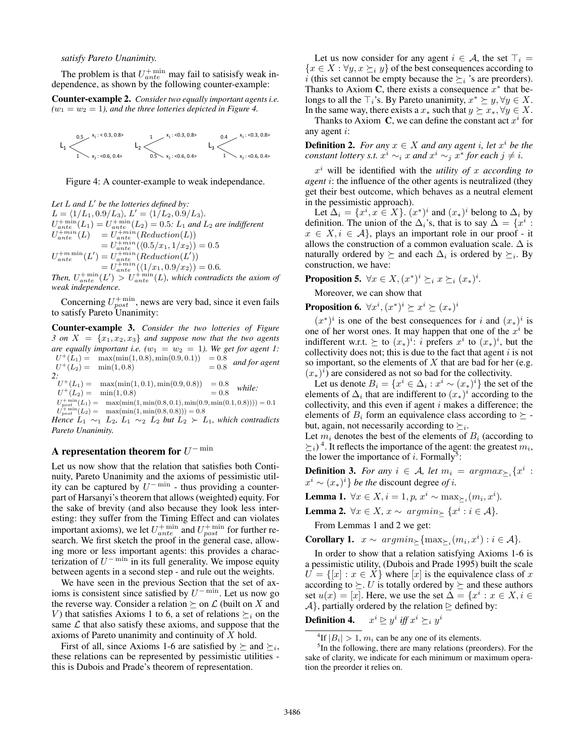### *satisfy Pareto Unanimity.*

The problem is that  $U_{ante}^{+ \text{ min}}$  may fail to satisisfy weak independence, as shown by the following counter-example:

Counter-example 2. *Consider two equally important agents i.e.*  $(w_1 = w_2 = 1)$ , and the three lotteries depicted in Figure 4.



Figure 4: A counter-example to weak independance.

Let L and L' be the lotteries defined by:  $L = \langle 1/L_1, 0.9/L_3 \rangle, L' = \langle 1/L_2, 0.9/L_3 \rangle.$  $U_{ante}^{+ \min}(L_1) = U_{ante}^{+ \min}(L_2) = 0.5$ :  $L_1$  *and*  $L_2$  *are indifferent*  $U_{ante}^{+min}(L) = U_{ante}^{+min}(Reduction(L))$  $= U^{+min}_{ante} (\langle 0.5/x_1, 1/x_2 \rangle) = 0.5$  $U_{ante}^{+m \min}(L') = U_{ante}^{+min}(Reduction(L'))$  $= U_{ante}^{+min}(\langle 1/x_1, 0.9/x_2 \rangle) = 0.6.$ 

Then,  $U_{ante}^{+ \min}(L') > U_{ante}^{+ \min}(L)$ , which contradicts the axiom of *weak independence.*

Concerning  $U_{post}^{+min}$ , news are very bad, since it even fails to satisfy Pareto Unanimity:

Counter-example 3. *Consider the two lotteries of Figure 3 on*  $X = \{x_1, x_2, x_3\}$  *and suppose now that the two agents are equally important i.e.*  $(w_1 = w_2 = 1)$ . We get for agent 1:  $U^+(L_1) = \max(\min(1, 0.8), \min(0.9, 0.1)) = 0.8$  $U^+(L_2) = \min(1, 0.8) = 0.8$ *and for agent 2:*

 $U^+(L_1) = \max(\min(1, 0.1), \min(0.9, 0.8)) = 0.8$ *while:*

 $U^+(L_2) = \min(1, 0.8) = 0.8$ U,  $\min_{\text{post}} \left( L_1 \right) = \max(\min(1, \min(0.8, 0.1), \min(0.9, \min(0.1, 0.8)))) = 0.1$ U,  $t_{post}^{+min}(L_2) = \max(\min(1, \min(0.8, 0.8))) = 0.8$ 

*Hence*  $L_1 \sim_1 L_2$ ,  $L_1 \sim_2 L_2$  *but*  $L_2 \succ L_1$ *, which contradicts Pareto Unanimity.*

## A representation theorem for  $U^{-\min}$

Let us now show that the relation that satisfies both Continuity, Pareto Unanimity and the axioms of pessimistic utility can be captured by  $U^{-\min}$  - thus providing a counterpart of Harsanyi's theorem that allows (weighted) equity. For the sake of brevity (and also because they look less interesting: they suffer from the Timing Effect and can violates important axioms), we let  $U_{ante}^{+ \text{min}}$  and  $U_{post}^{+ \text{min}}$  for further research. We first sketch the proof in the general case, allowing more or less important agents: this provides a characterization of  $U^{-\min}$  in its full generality. We impose equity between agents in a second step - and rule out the weights.

We have seen in the previous Section that the set of axioms is consistent since satisfied by  $U^{-\min}$ . Let us now go the reverse way. Consider a relation  $\succeq$  on  $\mathcal L$  (built on X and V) that satisfies Axioms 1 to 6, a set of relations  $\succeq_i$  on the same  $\mathcal L$  that also satisfy these axioms, and suppose that the axioms of Pareto unanimity and continuity of  $X$  hold.

First of all, since Axioms 1-6 are satisfied by  $\succeq$  and  $\succeq_i$ , these relations can be represented by pessimistic utilities this is Dubois and Prade's theorem of representation.

Let us now consider for any agent  $i \in \mathcal{A}$ , the set  $\top_i =$  ${x \in X : \forall y, x \succeq_i y}$  of the best consequences according to *i* (this set cannot be empty because the  $\geq_i$  's are preorders). Thanks to Axiom C, there exists a consequence  $x^*$  that belongs to all the  $\top_i$ 's. By Pareto unanimity,  $x^* \succeq y, \forall y \in X$ . In the same way, there exists a  $x_*$  such that  $y \succeq x_*, \forall y \in X$ .

Thanks to Axiom C, we can define the constant act  $x^i$  for any agent i:

**Definition 2.** *For any*  $x \in X$  *and any agent i, let*  $x^i$  *be the constant lottery s.t.*  $x^i \sim_i x$  *and*  $x^i \sim_j x^*$  *for each*  $j \neq i$ *.* 

x <sup>i</sup> will be identified with the *utility of* x *according to agent* i: the influence of the other agents is neutralized (they get their best outcome, which behaves as a neutral element in the pessimistic approach).

Let  $\Delta_i = \{x^i, x \in X\}$ .  $(x^*)^i$  and  $(x_*)^i$  belong to  $\Delta_i$  by definition. The union of the  $\Delta_i$ 's, that is to say  $\tilde{\Delta} = \{x^i :$  $x \in X, i \in \mathcal{A}$ , plays an important role in our proof - it allows the construction of a common evaluation scale.  $\Delta$  is naturally ordered by  $\succeq$  and each  $\Delta_i$  is ordered by  $\succeq_i$ . By construction, we have:

**Proposition 5.**  $\forall x \in X, (x^*)^i \succeq_i x \succeq_i (x_*)^i$ .

Moreover, we can show that

**Proposition 6.**  $\forall x^i, (x^*)^i \succeq x^i \succeq (x_*)^i$ 

 $(x^*)^i$  is one of the best consequences for i and  $(x_*)^i$  is one of her worst ones. It may happen that one of the  $x^i$  be indifferent w.r.t.  $\succeq$  to  $(x_*)^i$ : i prefers  $x^i$  to  $(x_*)^i$ , but the collectivity does not; this is due to the fact that agent  $i$  is not so important, so the elements of  $X$  that are bad for her (e.g.  $(x_*)^i$  are considered as not so bad for the collectivity.

Let us denote  $B_i = \{x^i \in \Delta_i : x^i \sim (x_*)^i\}$  the set of the elements of  $\Delta_i$  that are indifferent to  $(x_*)^i$  according to the collectivity, and this even if agent  $i$  makes a difference; the elements of  $B_i$  form an equivalence class according to  $\succeq$  but, again, not necessarily according to  $\succeq_i$ .

Let  $m_i$  denotes the best of the elements of  $B_i$  (according to  $\geq_i$ )<sup>4</sup>. It reflects the importance of the agent: the greatest  $m_i$ , the lower the importance of i. Formally<sup>5</sup>:

**Definition 3.** For any  $i \in A$ , let  $m_i = argmax_{\geq i} \{x^i :$  $x^i \sim (x_*)^i$  *be the discount degree of i.* 

**Lemma 1.** ∀ $x \in X$ ,  $i = 1, p$ ,  $x^i$  ∼ max<sub> $\geq i$ </sub> $(m_i, x^i)$ .

Lemma 2.  $\forall x \in X$ ,  $x \sim argmin_{\geq} \{x^i : i \in \mathcal{A}\}.$ 

From Lemmas 1 and 2 we get:

Corollary 1.  $x \sim argmin_{\geq} \{ \max_{\geq} (m_i, x^i) : i \in \mathcal{A} \}.$ 

In order to show that a relation satisfying Axioms 1-6 is a pessimistic utility, (Dubois and Prade 1995) built the scale  $U = \{ [x] : x \in X \}$  where  $[x]$  is the equivalence class of x according to  $\succeq$ . U is totally ordered by  $\succeq$  and these authors set  $u(x) = [x]$ . Here, we use the set  $\Delta = \{x^i : x \in X, i \in$  $\mathcal{A}$ , partially ordered by the relation  $\trianglerighteq$  defined by:

**Definition 4.**  $x^i \trianglerighteq y^i$  iff  $x^i \succeq_i y^i$ 

<sup>4</sup>If  $|B_i| > 1$ ,  $m_i$  can be any one of its elements.

<sup>&</sup>lt;sup>5</sup>In the following, there are many relations (preorders). For the sake of clarity, we indicate for each minimum or maximum operation the preorder it relies on.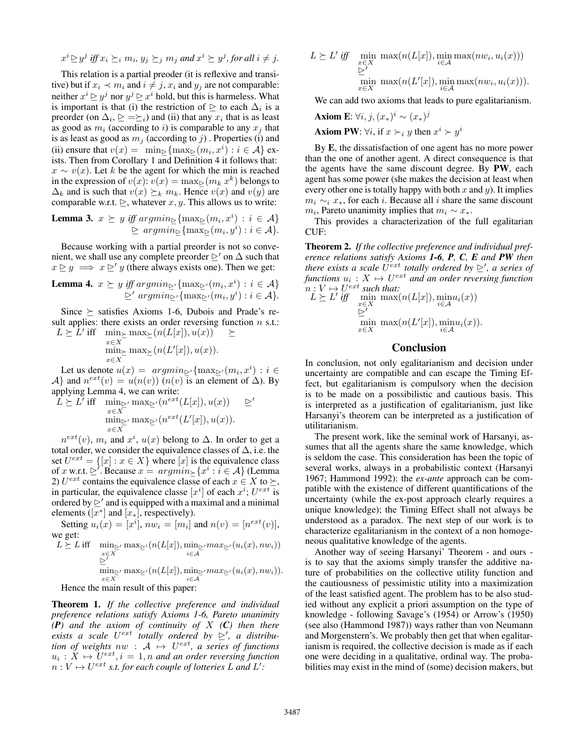$$
x^i \ge y^j
$$
 iff  $x_i \ge_i m_i, y_j \ge_j m_j$  and  $x^i \ge y^j$ , for all  $i \neq j$ .

This relation is a partial preoder (it is reflexive and transitive) but if  $x_i \prec m_i$  and  $i \neq j$ ,  $x_i$  and  $y_j$  are not comparable: neither  $x^i \trianglerighteq y^j$  nor  $y^j \trianglerighteq x^i$  hold, but this is harmeless. What is important is that (i) the restriction of  $\geq$  to each  $\Delta_i$  is a preorder (on  $\Delta_i$ ,  $\geq \geq \geq_i$ ) and (ii) that any  $x_i$  that is as least as good as  $m_i$  (according to i) is comparable to any  $x_i$  that is as least as good as  $m_i$  (according to j). Properties (i) and (ii) ensure that  $v(x) = \min_{\geq} \{ \max_{\geq} (m_i, x^i) : i \in \mathcal{A} \}$  exists. Then from Corollary 1 and Definition 4 it follows that:  $x \sim v(x)$ . Let k be the agent for which the min is reached in the expression of  $v(x)$ :  $v(x) = \max_{\geq} (m_k x^k)$  belongs to  $\Delta_k$  and is such that  $v(x) \succeq_k m_k$ . Hence  $v(x)$  and  $v(y)$  are comparable w.r.t.  $\geq$ , whatever x, y. This allows us to write:

**Lemma 3.** 
$$
x \succeq y
$$
 iff  $argmin_{\succeq} \{ \max_{\succeq} (m_i, x^i) : i \in A \}$   
 $\succeq argmin_{\succeq} \{ \max_{\succeq} (m_i, y^i) : i \in A \}.$ 

Because working with a partial preorder is not so convenient, we shall use any complete preorder  $\triangleright$ ' on  $\Delta$  such that  $x \geq y \implies x \geq' y$  (there always exists one). Then we get:

**Lemma 4.** 
$$
x \succeq y
$$
 iff  $argmin_{\succeq'} \{ \max_{\succeq'} (m_i, x^i) : i \in A \}$   
 $\succeq' argmin_{\succeq'} \{ \max_{\succeq'} (m_i, y^i) : i \in A \}.$ 

Since  $\succeq$  satisfies Axioms 1-6, Dubois and Prade's result applies: there exists an order reversing function  $n$  s.t.:  $L \succeq \hat{L}'$  iff  $\min_{x \in X} \max_{\succeq} (n(L[x]), u(x)) \succeq$ 

$$
\min_{x \in X} \max_{\ge} (n(L'[x]), u(x)).
$$

Let us denote  $u(x) = argmin_{\geq \ell} \{ \max_{\geq \ell} (m_i, x^i) : i \in \mathbb{R} \}$ A} and  $n^{ext}(v) = u(n(v))$  ( $n(v)$ ) is an element of  $\Delta$ ). By applying Lemma 4, we can write:  $L \succ$ 

$$
L' \text{ iff } \min_{\substack{x \in X \\ \min_{\substack{x \\ x \in X}}} \max_{\substack{C'}} (n^{ext}(L[x]), u(x)) \geq \sum' \\ \min_{\substack{x \\ \in X}} \max_{\substack{C'}} (n^{ext}(L'[x]), u(x)).
$$

 $n^{ext}(v)$ ,  $m_i$  and  $x^i$ ,  $u(x)$  belong to  $\Delta$ . In order to get a total order, we consider the equivalence classes of ∆, i.e. the set  $U^{ext} = \{ [x] : x \in X \}$  where  $[x]$  is the equivalence class of x w.r.t.  $\trianglerighteq'$ . Because  $x = argmin_{\geq} \{x^i : i \in A\}$  (Lemma 2)  $U^{ext}$  contains the equivalence classe of each  $x \in X$  to  $\succeq$ , in particular, the equivalence classe  $[x^i]$  of each  $x^i$ ;  $U^{ext}$  is ordered by  $\geq'$  and is equipped with a maximal and a minimal elements ( $[x^*]$  and  $[x_*]$ , respectively).

Setting  $u_i(x) = [x^i]$ ,  $nw_i = [m_i]$  and  $n(v) = [n^{ext}(v)]$ , we get:

$$
L \geq L \text{ iff } \min_{\substack{x \in X \\ \sum' \\ \sum' \\ n \equiv l}} \max_{\substack{w \in X \\ \sum' \\ w \equiv l}} \max_{\substack{w \\ \sum' \\ \sum' \\ n \equiv l}} \left( n(L[x]), \min_{\substack{w \\ \sum' \\ \sum' \\ n \equiv l}} \max_{\substack{w \\ \sum' \\ \sum' \\ n \equiv l}} \left( u_i(x), n w_i \right) \right)
$$

Hence the main result of this paper:

Theorem 1. *If the collective preference and individual preference relations satisfy Axioms 1-6, Pareto unanimity (P) and the axiom of continuity of* X *(C) then there* exists a scale  $U^{ext}$  totally ordered by  $\geq'$ , a distribu*tion of weights*  $nw : A \mapsto U^{ext}$ , a series of functions  $u_i: X \mapsto U^{ext}, i = 1, n$  and an order reversing function  $n: V \mapsto U^{ext}$  s.t. for each couple of lotteries L and L':

$$
L \geq L' \text{ iff } \min_{\substack{x \in X \\ \sum' \\ x \in X}} \max(n(L[x]), \min_{i \in \mathcal{A}} \max(nw_i, u_i(x)))
$$
  
 
$$
\min_{x \in X} \max(n(L'[x]), \min_{i \in \mathcal{A}} \max(nw_i, u_i(x))).
$$

We can add two axioms that leads to pure egalitarianism.

Axiom E:  $\forall i, j, (x_*)^i \sim (x_*)^j$ 

**Axiom PW:**  $\forall i$ , if  $x \succ_i y$  then  $x^i \succ y^i$ 

By E, the dissatisfaction of one agent has no more power than the one of another agent. A direct consequence is that the agents have the same discount degree. By PW, each agent has some power (she makes the decision at least when every other one is totally happy with both  $x$  and  $y$ ). It implies  $m_i \sim_i x_*$ , for each *i*. Because all *i* share the same discount  $m_i$ , Pareto unanimity implies that  $m_i \sim x_*$ .

This provides a characterization of the full egalitarian CUF:

Theorem 2. *If the collective preference and individual preference relations satisfy Axioms 1-6, P, C, E and PW then there exists a scale*  $U^{ext}$  *totally ordered by*  $\geq'$ , *a series of*  $f$ unctions  $u_i: X \mapsto U^{ext}$  and an order reversing function  $n: V \mapsto U^{ext}$  *such that:* 

$$
L \geq L' \text{ iff } \min_{\substack{x \in X \\ \sum' \\ x \in X}} \max(n(L[x]), \min_{i \in \mathcal{A}} u_i(x))
$$
  
 
$$
\min_{x \in X} \max(n(L'[x]), \min_{i \in \mathcal{A}} u_i(x)).
$$

### Conclusion

In conclusion, not only egalitarianism and decision under uncertainty are compatible and can escape the Timing Effect, but egalitarianism is compulsory when the decision is to be made on a possibilistic and cautious basis. This is interpreted as a justification of egalitarianism, just like Harsanyi's theorem can be interpreted as a justification of utilitarianism.

The present work, like the seminal work of Harsanyi, assumes that all the agents share the same knowledge, which is seldom the case. This consideration has been the topic of several works, always in a probabilistic context (Harsanyi 1967; Hammond 1992): the *ex-ante* approach can be compatible with the existence of different quantifications of the uncertainty (while the ex-post approach clearly requires a unique knowledge); the Timing Effect shall not always be understood as a paradox. The next step of our work is to characterize egalitarianism in the context of a non homogeneous qualitative knowledge of the agents.

Another way of seeing Harsanyi' Theorem - and ours is to say that the axioms simply transfer the additive nature of probabilities on the collective utility function and the cautiousness of pessimistic utility into a maximization of the least satisfied agent. The problem has to be also studied without any explicit a priori assumption on the type of knowledge - following Savage's (1954) or Arrow's (1950) (see also (Hammond 1987)) ways rather than von Neumann and Morgenstern's. We probably then get that when egalitarianism is required, the collective decision is made as if each one were deciding in a qualitative, ordinal way. The probabilities may exist in the mind of (some) decision makers, but